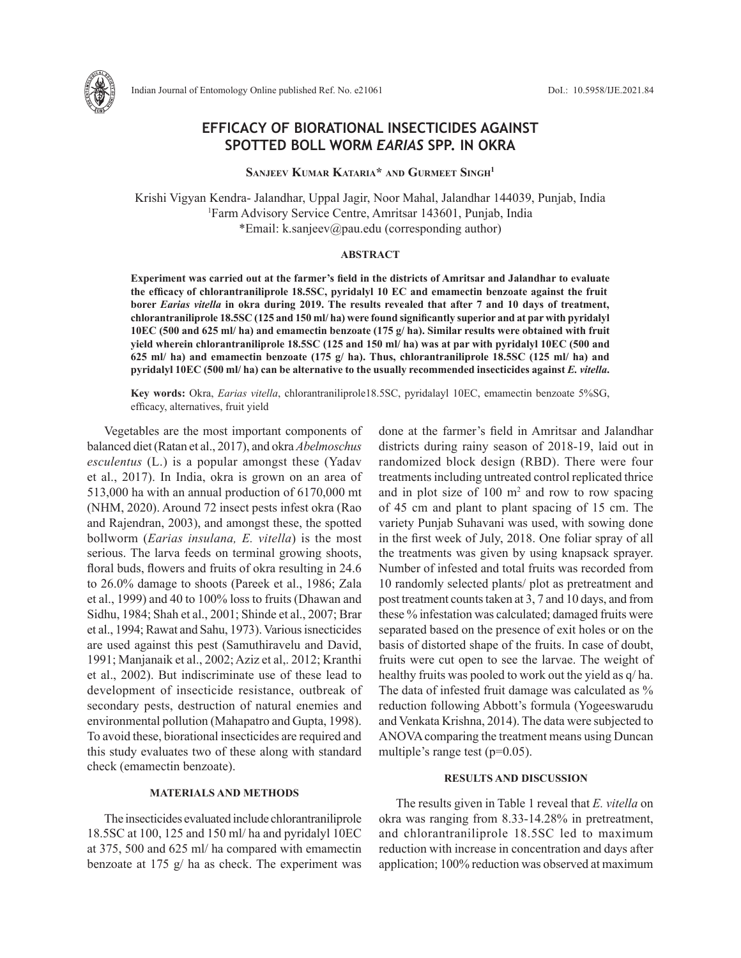

# **EFFICACY OF BIORATIONAL INSECTICIDES AGAINST SPOTTED BOLL WORM** *EARIAS* **SPP. IN OKRA**

**Sanjeev Kumar Kataria\* and Gurmeet SinGh<sup>1</sup>**

Krishi Vigyan Kendra- Jalandhar, Uppal Jagir, Noor Mahal, Jalandhar 144039, Punjab, India <sup>1</sup>Farm Advisory Service Centre, Amritsar 143601, Punjab, India \*Email: k.sanjeev@pau.edu (corresponding author)

#### **ABSTRACT**

**Experiment was carried out at the farmer's field in the districts of Amritsar and Jalandhar to evaluate the efficacy of chlorantraniliprole 18.5SC, pyridalyl 10 EC and emamectin benzoate against the fruit borer** *Earias vitella* **in okra during 2019. The results revealed that after 7 and 10 days of treatment, chlorantraniliprole 18.5SC (125 and 150 ml/ ha) were found significantly superior and at par with pyridalyl 10EC (500 and 625 ml/ ha) and emamectin benzoate (175 g/ ha). Similar results were obtained with fruit yield wherein chlorantraniliprole 18.5SC (125 and 150 ml/ ha) was at par with pyridalyl 10EC (500 and 625 ml/ ha) and emamectin benzoate (175 g/ ha). Thus, chlorantraniliprole 18.5SC (125 ml/ ha) and pyridalyl 10EC (500 ml/ ha) can be alternative to the usually recommended insecticides against** *E. vitella***.** 

**Key words:** Okra, *Earias vitella*, chlorantraniliprole18.5SC, pyridalayl 10EC, emamectin benzoate 5%SG, efficacy, alternatives, fruit yield

Vegetables are the most important components of balanced diet (Ratan et al., 2017), and okra *Abelmoschus esculentus* (L.) is a popular amongst these (Yadav et al., 2017). In India, okra is grown on an area of 513,000 ha with an annual production of 6170,000 mt (NHM, 2020). Around 72 insect pests infest okra (Rao and Rajendran, 2003), and amongst these, the spotted bollworm (*Earias insulana, E. vitella*) is the most serious. The larva feeds on terminal growing shoots, floral buds, flowers and fruits of okra resulting in 24.6 to 26.0% damage to shoots (Pareek et al., 1986; Zala et al., 1999) and 40 to 100% loss to fruits (Dhawan and Sidhu, 1984; Shah et al., 2001; Shinde et al., 2007; Brar et al., 1994; Rawat and Sahu, 1973). Various isnecticides are used against this pest (Samuthiravelu and David, 1991; Manjanaik et al., 2002; Aziz et al,. 2012; Kranthi et al., 2002). But indiscriminate use of these lead to development of insecticide resistance, outbreak of secondary pests, destruction of natural enemies and environmental pollution (Mahapatro and Gupta, 1998). To avoid these, biorational insecticides are required and this study evaluates two of these along with standard check (emamectin benzoate).

## **MATERIALS AND METHODS**

The insecticides evaluated include chlorantraniliprole 18.5SC at 100, 125 and 150 ml/ ha and pyridalyl 10EC at 375, 500 and 625 ml/ ha compared with emamectin benzoate at 175 g/ ha as check. The experiment was done at the farmer's field in Amritsar and Jalandhar districts during rainy season of 2018-19, laid out in randomized block design (RBD). There were four treatments including untreated control replicated thrice and in plot size of  $100 \text{ m}^2$  and row to row spacing of 45 cm and plant to plant spacing of 15 cm. The variety Punjab Suhavani was used, with sowing done in the first week of July, 2018. One foliar spray of all the treatments was given by using knapsack sprayer. Number of infested and total fruits was recorded from 10 randomly selected plants/ plot as pretreatment and post treatment counts taken at 3, 7 and 10 days, and from these % infestation was calculated; damaged fruits were separated based on the presence of exit holes or on the basis of distorted shape of the fruits. In case of doubt, fruits were cut open to see the larvae. The weight of healthy fruits was pooled to work out the yield as q/ ha. The data of infested fruit damage was calculated as % reduction following Abbott's formula (Yogeeswarudu and Venkata Krishna, 2014). The data were subjected to ANOVA comparing the treatment means using Duncan multiple's range test (p=0.05).

## **RESULTS AND DISCUSSION**

The results given in Table 1 reveal that *E. vitella* on okra was ranging from 8.33-14.28% in pretreatment, and chlorantraniliprole 18.5SC led to maximum reduction with increase in concentration and days after application; 100% reduction was observed at maximum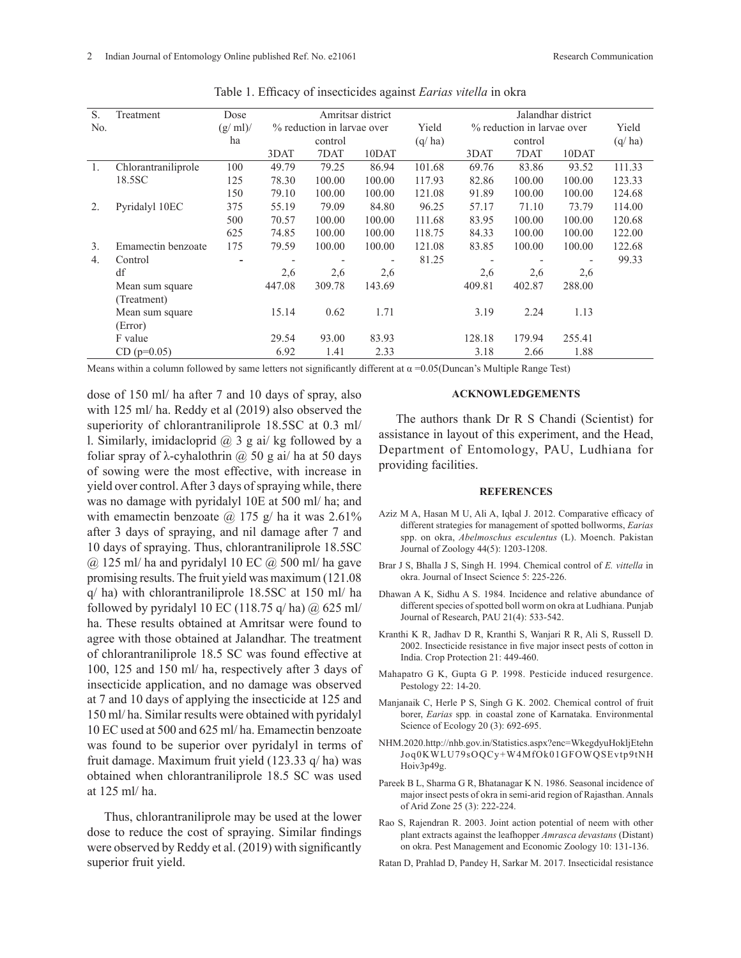| S.               | Treatment           | Dose    |                            | Amritsar district |                |        |                            | Jalandhar district |        |        |  |
|------------------|---------------------|---------|----------------------------|-------------------|----------------|--------|----------------------------|--------------------|--------|--------|--|
| No.              |                     | (g/ml)/ | % reduction in larvae over |                   |                | Yield  | % reduction in larvae over |                    |        | Yield  |  |
|                  |                     | ha      |                            | control           |                | (q/ha) |                            | control            |        | (q/ha) |  |
|                  |                     |         | 3DAT                       | 7DAT              | 10DAT          |        | 3DAT                       | 7DAT               | 10DAT  |        |  |
| 1.               | Chlorantraniliprole | 100     | 49.79                      | 79.25             | 86.94          | 101.68 | 69.76                      | 83.86              | 93.52  | 111.33 |  |
|                  | 18.5SC              | 125     | 78.30                      | 100.00            | 100.00         | 117.93 | 82.86                      | 100.00             | 100.00 | 123.33 |  |
|                  |                     | 150     | 79.10                      | 100.00            | 100.00         | 121.08 | 91.89                      | 100.00             | 100.00 | 124.68 |  |
| $\overline{2}$ . | Pyridalyl 10EC      | 375     | 55.19                      | 79.09             | 84.80          | 96.25  | 57.17                      | 71.10              | 73.79  | 114.00 |  |
|                  |                     | 500     | 70.57                      | 100.00            | 100.00         | 111.68 | 83.95                      | 100.00             | 100.00 | 120.68 |  |
|                  |                     | 625     | 74.85                      | 100.00            | 100.00         | 118.75 | 84.33                      | 100.00             | 100.00 | 122.00 |  |
| $\mathfrak{Z}$ . | Emamectin benzoate  | 175     | 79.59                      | 100.00            | 100.00         | 121.08 | 83.85                      | 100.00             | 100.00 | 122.68 |  |
| 4.               | Control             |         |                            |                   | $\overline{a}$ | 81.25  | $\blacksquare$             |                    | ٠      | 99.33  |  |
|                  | df                  |         | 2,6                        | 2,6               | 2,6            |        | 2,6                        | 2,6                | 2,6    |        |  |
|                  | Mean sum square     |         | 447.08                     | 309.78            | 143.69         |        | 409.81                     | 402.87             | 288.00 |        |  |
|                  | (Treatment)         |         |                            |                   |                |        |                            |                    |        |        |  |
|                  | Mean sum square     |         | 15.14                      | 0.62              | 1.71           |        | 3.19                       | 2.24               | 1.13   |        |  |
|                  | (Error)             |         |                            |                   |                |        |                            |                    |        |        |  |
|                  | F value             |         | 29.54                      | 93.00             | 83.93          |        | 128.18                     | 179.94             | 255.41 |        |  |
|                  | $CD (p=0.05)$       |         | 6.92                       | 1.41              | 2.33           |        | 3.18                       | 2.66               | 1.88   |        |  |

Table 1. Efficacy of insecticides against *Earias vitella* in okra

Means within a column followed by same letters not significantly different at  $\alpha = 0.05$ (Duncan's Multiple Range Test)

dose of 150 ml/ ha after 7 and 10 days of spray, also with 125 ml/ ha. Reddy et al (2019) also observed the superiority of chlorantraniliprole 18.5SC at 0.3 ml/ l. Similarly, imidacloprid  $(a)$  3 g ai/ kg followed by a foliar spray of  $\lambda$ -cyhalothrin  $\omega$  50 g ai/ ha at 50 days of sowing were the most effective, with increase in yield over control. After 3 days of spraying while, there was no damage with pyridalyl 10E at 500 ml/ ha; and with emamectin benzoate  $\omega$  175 g/ ha it was 2.61% after 3 days of spraying, and nil damage after 7 and 10 days of spraying. Thus, chlorantraniliprole 18.5SC  $\omega$  125 ml/ ha and pyridalyl 10 EC  $\omega$  500 ml/ ha gave promising results. The fruit yield was maximum (121.08 q/ ha) with chlorantraniliprole 18.5SC at 150 ml/ ha followed by pyridalyl 10 EC (118.75 q/ ha)  $\omega$  625 ml/ ha. These results obtained at Amritsar were found to agree with those obtained at Jalandhar. The treatment of chlorantraniliprole 18.5 SC was found effective at 100, 125 and 150 ml/ ha, respectively after 3 days of insecticide application, and no damage was observed at 7 and 10 days of applying the insecticide at 125 and 150 ml/ ha. Similar results were obtained with pyridalyl 10 EC used at 500 and 625 ml/ ha. Emamectin benzoate was found to be superior over pyridalyl in terms of fruit damage. Maximum fruit yield (123.33 q/ ha) was obtained when chlorantraniliprole 18.5 SC was used at 125 ml/ ha.

Thus, chlorantraniliprole may be used at the lower dose to reduce the cost of spraying. Similar findings were observed by Reddy et al. (2019) with significantly superior fruit yield.

#### **ACKNOWLEDGEMENTS**

The authors thank Dr R S Chandi (Scientist) for assistance in layout of this experiment, and the Head, Department of Entomology, PAU, Ludhiana for providing facilities.

#### **REFERENCES**

- Aziz M A, Hasan M U, Ali A, Iqbal J. 2012. Comparative efficacy of different strategies for management of spotted bollworms, *Earias*  spp. on okra, *Abelmoschus esculentus* (L). Moench. Pakistan Journal of Zoology 44(5): 1203-1208.
- Brar J S, Bhalla J S, Singh H. 1994. Chemical control of *E. vittella* in okra. Journal of Insect Science 5: 225-226.
- Dhawan A K, Sidhu A S. 1984. Incidence and relative abundance of different species of spotted boll worm on okra at Ludhiana. Punjab Journal of Research, PAU 21(4): 533-542.
- Kranthi K R, Jadhav D R, Kranthi S, Wanjari R R, Ali S, Russell D. 2002. Insecticide resistance in five major insect pests of cotton in India. Crop Protection 21: 449-460.
- Mahapatro G K, Gupta G P. 1998. Pesticide induced resurgence. Pestology 22: 14-20.
- Manjanaik C, Herle P S, Singh G K. 2002. Chemical control of fruit borer, *Earias* spp*.* in coastal zone of Karnataka. Environmental Science of Ecology 20 (3): 692-695.
- NHM.2020.http://nhb.gov.in/Statistics.aspx?enc=WkegdyuHokljEtehn Joq0KWLU79sOQCy+W4MfOk01GFOWQSEvtp9tNH Hoiv3p49g.
- Pareek B L, Sharma G R, Bhatanagar K N. 1986. Seasonal incidence of major insect pests of okra in semi-arid region of Rajasthan. Annals of Arid Zone 25 (3): 222-224.
- Rao S, Rajendran R. 2003. Joint action potential of neem with other plant extracts against the leafhopper *Amrasca devastans* (Distant) on okra. Pest Management and Economic Zoology 10: 131-136.
- Ratan D, Prahlad D, Pandey H, Sarkar M. 2017. Insecticidal resistance